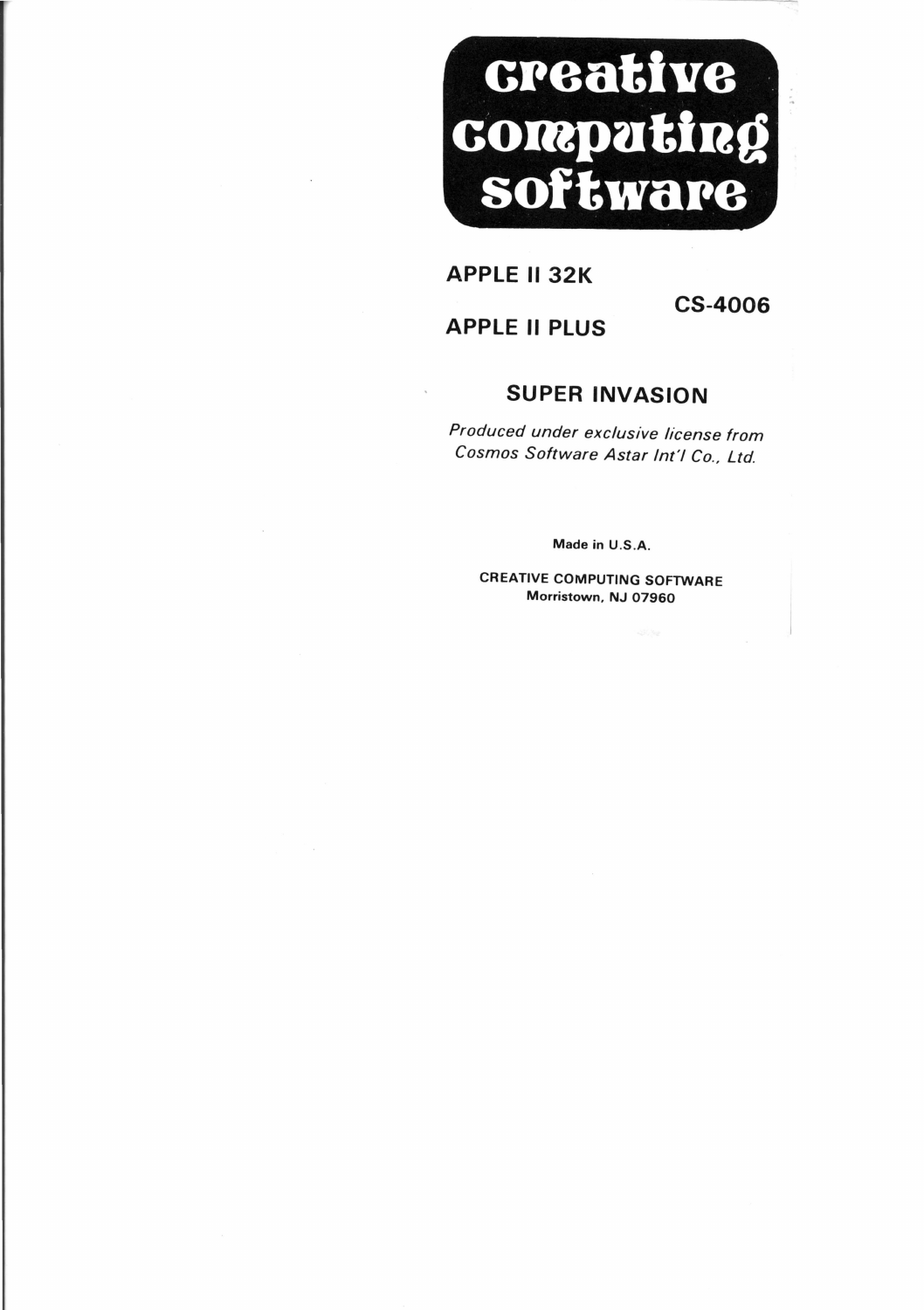

### **APPLE II 32K**

## **APPLE II PLUS**

**CS-4006** 

# **SUPER INVASION**

Produced under exclusive license from Cosmos Software Astar Int'l Co., Ltd.

Made in U.S.A.

CREATIVE COMPUTING SOFTWARE Morristown, NJ 07960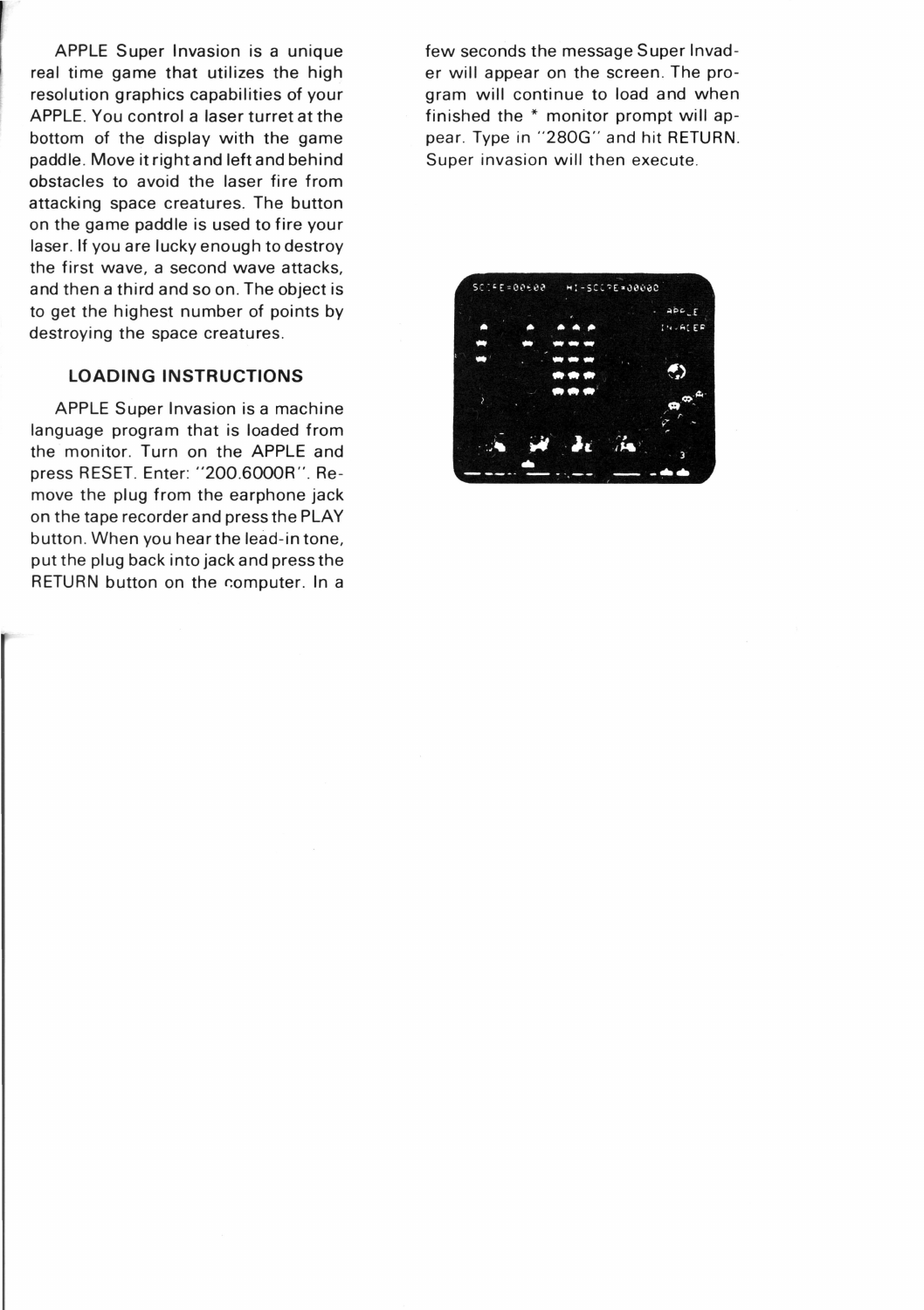APPLE Super Invasion is a unique real time game that utilizes the high resolution graphics capabilities of your APPLE. You control a laser turret at the bottom of the display with the game paddle. Move it right and left and behind obstacles to avoid the laser fire from attacking space creatures. The button on the game paddle is used to fire your laser. If you are lucky enough to destroy the first wave, a second wave attacks, and then a third and so on. The object is to get the highest number of points by destroying the space creatures.

#### **LOADING INSTRUCTIONS**

APPLE Super Invasion is a machine language program that is loaded from the monitor. Turn on the APPLE and press RESET. Enter: "200.6000R ". Remove the plug from the earphone jack on the tape recorder and press the PLAY button. When you hear the lead-in tone, put the plug back into jack and press the RETURN button on the computer. In a few seconds the message Super Invader will appear on the screen. The program will continue to load and when finished the \* monitor prompt will appear. Type in "280G" and hit RETURN. Super invasion will then execute.